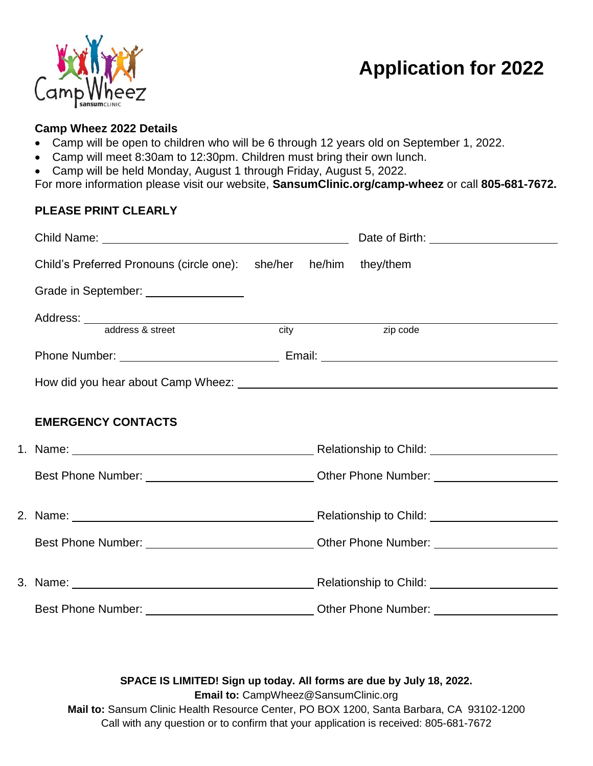

# **Application for 2022**

### **Camp Wheez 2022 Details**

- Camp will be open to children who will be 6 through 12 years old on September 1, 2022.
- Camp will meet 8:30am to 12:30pm. Children must bring their own lunch.
- Camp will be held Monday, August 1 through Friday, August 5, 2022.

For more information please visit our website, **SansumClinic.org/camp-wheez** or call **805-681-7672.**

### **PLEASE PRINT CLEARLY**

|                                                                                                      |  |                   | Date of Birth: <u>_______________________</u> |  |
|------------------------------------------------------------------------------------------------------|--|-------------------|-----------------------------------------------|--|
| Child's Preferred Pronouns (circle one): she/her he/him they/them                                    |  |                   |                                               |  |
| Grade in September: ________________                                                                 |  |                   |                                               |  |
|                                                                                                      |  |                   |                                               |  |
|                                                                                                      |  | $\overline{city}$ | zip code                                      |  |
|                                                                                                      |  |                   |                                               |  |
|                                                                                                      |  |                   |                                               |  |
| <b>EMERGENCY CONTACTS</b>                                                                            |  |                   |                                               |  |
|                                                                                                      |  |                   |                                               |  |
|                                                                                                      |  |                   |                                               |  |
|                                                                                                      |  |                   |                                               |  |
|                                                                                                      |  |                   |                                               |  |
| Best Phone Number: __________________________________Other Phone Number: ___________________________ |  |                   |                                               |  |
|                                                                                                      |  |                   |                                               |  |
|                                                                                                      |  |                   |                                               |  |

### **SPACE IS LIMITED! Sign up today. All forms are due by July 18, 2022.**

**Email to:** [CampWheez@SansumClinic.org](mailto:CampWheez@SansumClinic.org)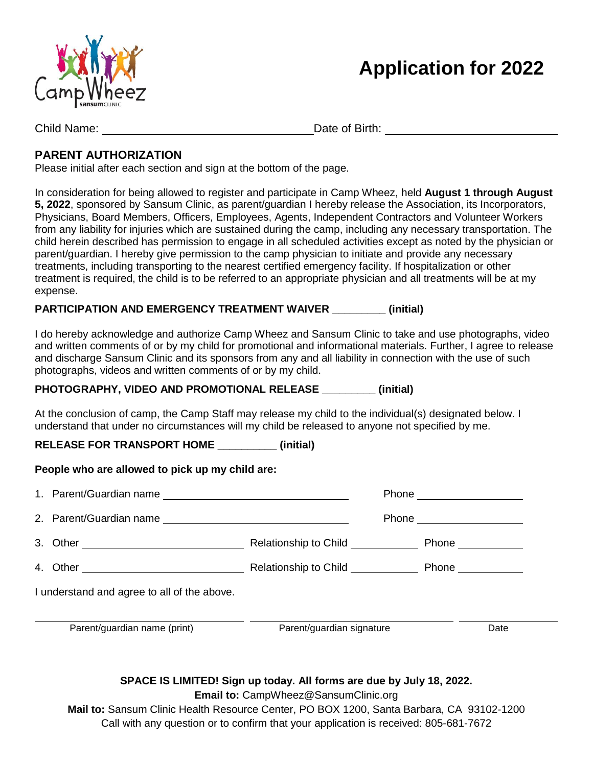

# **Application for 2022**

Child Name: Date of Birth:

## **PARENT AUTHORIZATION**

Please initial after each section and sign at the bottom of the page.

In consideration for being allowed to register and participate in Camp Wheez, held **August 1 through August 5, 2022**, sponsored by Sansum Clinic, as parent/guardian I hereby release the Association, its Incorporators, Physicians, Board Members, Officers, Employees, Agents, Independent Contractors and Volunteer Workers from any liability for injuries which are sustained during the camp, including any necessary transportation. The child herein described has permission to engage in all scheduled activities except as noted by the physician or parent/guardian. I hereby give permission to the camp physician to initiate and provide any necessary treatments, including transporting to the nearest certified emergency facility. If hospitalization or other treatment is required, the child is to be referred to an appropriate physician and all treatments will be at my expense.

## **PARTICIPATION AND EMERGENCY TREATMENT WAIVER \_\_\_\_\_\_\_\_\_ (initial)**

I do hereby acknowledge and authorize Camp Wheez and Sansum Clinic to take and use photographs, video and written comments of or by my child for promotional and informational materials. Further, I agree to release and discharge Sansum Clinic and its sponsors from any and all liability in connection with the use of such photographs, videos and written comments of or by my child.

## **PHOTOGRAPHY, VIDEO AND PROMOTIONAL RELEASE \_\_\_\_\_\_\_\_\_ (initial)**

At the conclusion of camp, the Camp Staff may release my child to the individual(s) designated below. I understand that under no circumstances will my child be released to anyone not specified by me.

**RELEASE FOR TRANSPORT HOME \_\_\_\_\_\_\_\_\_\_ (initial)**

## **People who are allowed to pick up my child are:**

|                                             |                                                                                                                      |                                                                      | Phone ____________________ |      |  |  |
|---------------------------------------------|----------------------------------------------------------------------------------------------------------------------|----------------------------------------------------------------------|----------------------------|------|--|--|
|                                             |                                                                                                                      |                                                                      |                            |      |  |  |
|                                             |                                                                                                                      | Relationship to Child <b>National Property Phone</b> Phone 2012 2023 |                            |      |  |  |
|                                             | 4. Other entertainment and the Relationship to Child entertainment Phone entertainment and the Relationship to Child |                                                                      |                            |      |  |  |
| I understand and agree to all of the above. |                                                                                                                      |                                                                      |                            |      |  |  |
|                                             | Parent/guardian name (print)                                                                                         | Parent/guardian signature                                            |                            | Date |  |  |

## **SPACE IS LIMITED! Sign up today. All forms are due by July 18, 2022.**

**Email to:** [CampWheez@SansumClinic.org](mailto:CampWheez@SansumClinic.org)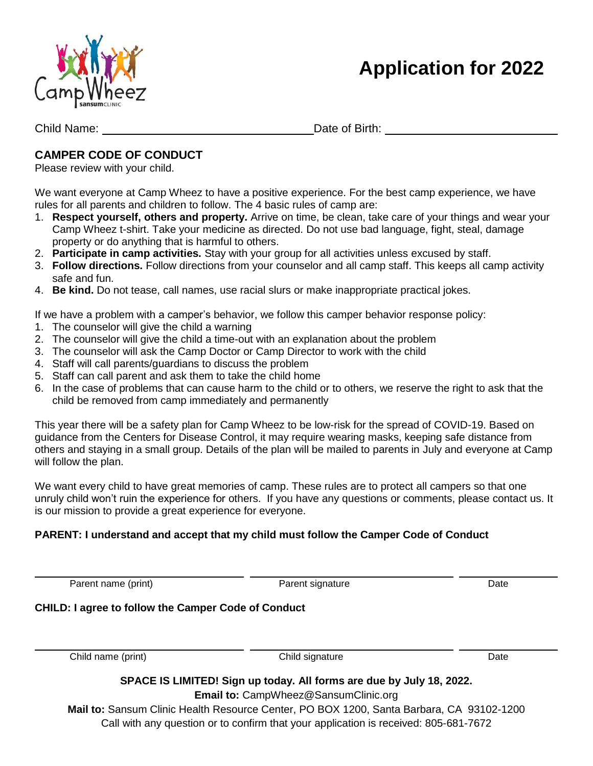



Child Name: Date of Birth:

## **CAMPER CODE OF CONDUCT**

Please review with your child.

We want everyone at Camp Wheez to have a positive experience. For the best camp experience, we have rules for all parents and children to follow. The 4 basic rules of camp are:

- 1. **Respect yourself, others and property.** Arrive on time, be clean, take care of your things and wear your Camp Wheez t-shirt. Take your medicine as directed. Do not use bad language, fight, steal, damage property or do anything that is harmful to others.
- 2. **Participate in camp activities.** Stay with your group for all activities unless excused by staff.
- 3. **Follow directions.** Follow directions from your counselor and all camp staff. This keeps all camp activity safe and fun.
- 4. **Be kind.** Do not tease, call names, use racial slurs or make inappropriate practical jokes.

If we have a problem with a camper's behavior, we follow this camper behavior response policy:

- 1. The counselor will give the child a warning
- 2. The counselor will give the child a time-out with an explanation about the problem
- 3. The counselor will ask the Camp Doctor or Camp Director to work with the child
- 4. Staff will call parents/guardians to discuss the problem
- 5. Staff can call parent and ask them to take the child home
- 6. In the case of problems that can cause harm to the child or to others, we reserve the right to ask that the child be removed from camp immediately and permanently

This year there will be a safety plan for Camp Wheez to be low-risk for the spread of COVID-19. Based on guidance from the Centers for Disease Control, it may require wearing masks, keeping safe distance from others and staying in a small group. Details of the plan will be mailed to parents in July and everyone at Camp will follow the plan.

We want every child to have great memories of camp. These rules are to protect all campers so that one unruly child won't ruin the experience for others. If you have any questions or comments, please contact us. It is our mission to provide a great experience for everyone.

### **PARENT: I understand and accept that my child must follow the Camper Code of Conduct**

i<br>L

j.

Parent name (print) **Parent signature** Parent signature Date

### **CHILD: I agree to follow the Camper Code of Conduct**

Child name (print) Child signature Child signature Date

## **SPACE IS LIMITED! Sign up today. All forms are due by July 18, 2022.**

**Email to:** [CampWheez@SansumClinic.org](mailto:CampWheez@SansumClinic.org)